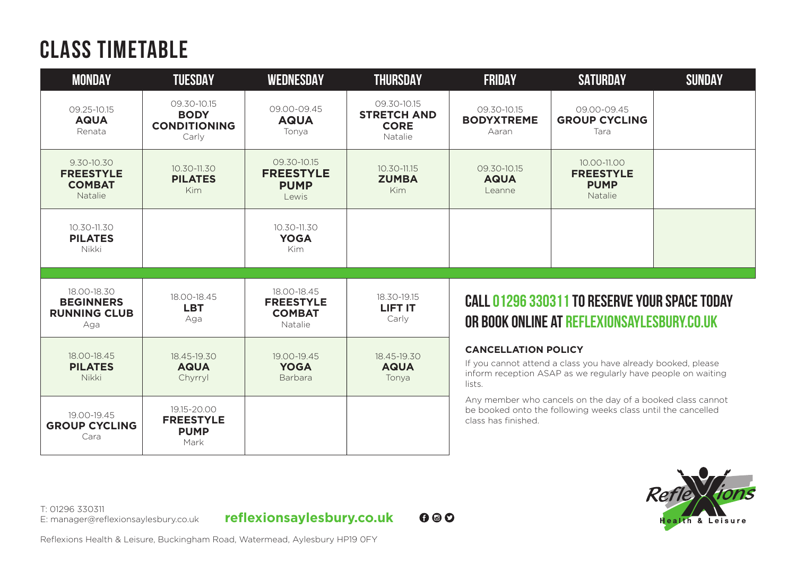## **CLASS TIMETABLE**

| <b>MONDAY</b>                                                 | <b>TUESDAY</b>                                             | <b>WEDNESDAY</b>                                            | <b>THURSDAY</b>                                             | <b>FRIDAY</b>                                                                                                                                                        | <b>SATURDAY</b>                                           | <b>SUNDAY</b> |
|---------------------------------------------------------------|------------------------------------------------------------|-------------------------------------------------------------|-------------------------------------------------------------|----------------------------------------------------------------------------------------------------------------------------------------------------------------------|-----------------------------------------------------------|---------------|
| 09.25-10.15<br><b>AQUA</b><br>Renata                          | 09.30-10.15<br><b>BODY</b><br><b>CONDITIONING</b><br>Carly | 09.00-09.45<br><b>AQUA</b><br>Tonva                         | 09.30-10.15<br><b>STRETCH AND</b><br><b>CORE</b><br>Natalie | 09.30-10.15<br><b>BODYXTREME</b><br>Aaran                                                                                                                            | 09.00-09.45<br><b>GROUP CYCLING</b><br>Tara               |               |
| 9.30-10.30<br><b>FREESTYLE</b><br><b>COMBAT</b><br>Natalie    | $10.30 - 11.30$<br><b>PILATES</b><br>Kim                   | 09.30-10.15<br><b>FREESTYLE</b><br><b>PUMP</b><br>Lewis     | 10.30-11.15<br><b>ZUMBA</b><br>Kim                          | 09.30-10.15<br><b>AQUA</b><br>Leanne                                                                                                                                 | 10.00-11.00<br><b>FREESTYLE</b><br><b>PUMP</b><br>Natalie |               |
| 10.30-11.30<br><b>PILATES</b><br>Nikki                        |                                                            | 10.30-11.30<br><b>YOGA</b><br><b>Kim</b>                    |                                                             |                                                                                                                                                                      |                                                           |               |
| 18.00-18.30<br><b>BEGINNERS</b><br><b>RUNNING CLUB</b><br>Aga | 18.00-18.45<br><b>LBT</b><br>Aga                           | 18.00-18.45<br><b>FREESTYLE</b><br><b>COMBAT</b><br>Natalie | 18.30-19.15<br>LIFT IT<br>Carly                             | <b>CALL 01296 330311 TO RESERVE YOUR SPACE TODAY</b><br>OR BOOK ONLINE AT REFLEXIONSAYLESBURY.CO.UK                                                                  |                                                           |               |
| 18.00-18.45<br><b>PILATES</b><br>Nikki                        | 18.45-19.30<br><b>AQUA</b><br>Chyrryl                      | 19.00-19.45<br><b>YOGA</b><br><b>Barbara</b>                | 18.45-19.30<br><b>AQUA</b><br>Tonya                         | <b>CANCELLATION POLICY</b><br>If you cannot attend a class you have already booked, please<br>inform reception ASAP as we regularly have people on waiting<br>lists. |                                                           |               |
| 19.00-19.45<br><b>GROUP CYCLING</b><br>Cara                   | 19.15-20.00<br><b>FREESTYLE</b><br><b>PUMP</b><br>Mark     |                                                             |                                                             | Any member who cancels on the day of a booked class cannot<br>be booked onto the following weeks class until the cancelled<br>class has finished.                    |                                                           |               |



T: 01296 330311<br>E: manager@reflexionsaylesbury.co.uk

E: manager@reflexionsaylesbury.co.uk **reflexionsaylesbury.co.uk**

 $0<sup>°</sup>$